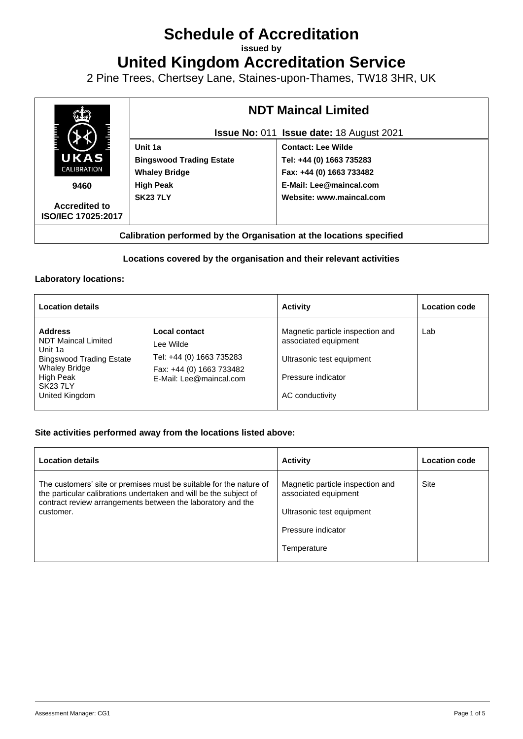# **Schedule of Accreditation**

**issued by**

**United Kingdom Accreditation Service**

2 Pine Trees, Chertsey Lane, Staines-upon-Thames, TW18 3HR, UK



# **Locations covered by the organisation and their relevant activities**

## **Laboratory locations:**

| <b>Location details</b>                                                                                                                                      |                                                                                                               | <b>Activity</b>                                                                                                                | <b>Location code</b> |
|--------------------------------------------------------------------------------------------------------------------------------------------------------------|---------------------------------------------------------------------------------------------------------------|--------------------------------------------------------------------------------------------------------------------------------|----------------------|
| <b>Address</b><br>NDT Maincal Limited<br>Unit 1a<br><b>Bingswood Trading Estate</b><br><b>Whaley Bridge</b><br>High Peak<br><b>SK237LY</b><br>United Kingdom | Local contact<br>Lee Wilde<br>Tel: +44 (0) 1663 735283<br>Fax: +44 (0) 1663 733482<br>E-Mail: Lee@maincal.com | Magnetic particle inspection and<br>associated equipment<br>Ultrasonic test equipment<br>Pressure indicator<br>AC conductivity | Lab                  |

# **Site activities performed away from the locations listed above:**

| <b>Location details</b>                                                                                                                                                                                             | <b>Activity</b>                                                                                                            | <b>Location code</b> |
|---------------------------------------------------------------------------------------------------------------------------------------------------------------------------------------------------------------------|----------------------------------------------------------------------------------------------------------------------------|----------------------|
| The customers' site or premises must be suitable for the nature of<br>the particular calibrations undertaken and will be the subject of<br>contract review arrangements between the laboratory and the<br>customer. | Magnetic particle inspection and<br>associated equipment<br>Ultrasonic test equipment<br>Pressure indicator<br>Temperature | Site                 |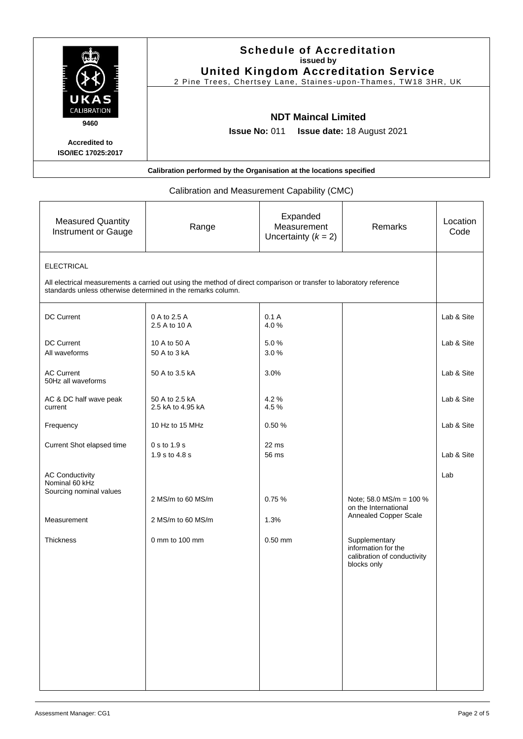|                                                                                   |                                                                                                                     | <b>Schedule of Accreditation</b><br>issued by    | <b>United Kingdom Accreditation Service</b><br>2 Pine Trees, Chertsey Lane, Staines-upon-Thames, TW18 3HR, UK |                  |
|-----------------------------------------------------------------------------------|---------------------------------------------------------------------------------------------------------------------|--------------------------------------------------|---------------------------------------------------------------------------------------------------------------|------------------|
| S<br><b>CALIBRATION</b><br>9460<br><b>Accredited to</b>                           | <b>Issue No: 011</b>                                                                                                | <b>NDT Maincal Limited</b>                       | <b>Issue date: 18 August 2021</b>                                                                             |                  |
| ISO/IEC 17025:2017                                                                | Calibration performed by the Organisation at the locations specified                                                |                                                  |                                                                                                               |                  |
|                                                                                   |                                                                                                                     |                                                  |                                                                                                               |                  |
|                                                                                   | Calibration and Measurement Capability (CMC)                                                                        |                                                  |                                                                                                               |                  |
| <b>Measured Quantity</b><br>Instrument or Gauge                                   | Range                                                                                                               | Expanded<br>Measurement<br>Uncertainty $(k = 2)$ | Remarks                                                                                                       | Location<br>Code |
| <b>ELECTRICAL</b><br>standards unless otherwise determined in the remarks column. | All electrical measurements a carried out using the method of direct comparison or transfer to laboratory reference |                                                  |                                                                                                               |                  |
| <b>DC Current</b>                                                                 | 0 A to 2.5 A<br>2.5 A to 10 A                                                                                       | 0.1A<br>4.0%                                     |                                                                                                               | Lab & Site       |
| <b>DC Current</b><br>All waveforms                                                | 10 A to 50 A<br>50 A to 3 kA                                                                                        | 5.0%<br>3.0%                                     |                                                                                                               | Lab & Site       |
| <b>AC Current</b><br>50Hz all waveforms                                           | 50 A to 3.5 kA                                                                                                      | 3.0%                                             |                                                                                                               | Lab & Site       |
| AC & DC half wave peak<br>current                                                 | 50 A to 2.5 kA<br>2.5 kA to 4.95 kA                                                                                 | 4.2%<br>4.5%                                     |                                                                                                               | Lab & Site       |
| Frequency                                                                         | 10 Hz to 15 MHz                                                                                                     | 0.50 %                                           |                                                                                                               | Lab & Site       |
| Current Shot elapsed time                                                         | 0 s to 1.9 s<br>1.9 s to 4.8 s                                                                                      | 22 ms<br>56 ms                                   |                                                                                                               | Lab & Site       |
| <b>AC Conductivity</b><br>Nominal 60 kHz<br>Sourcing nominal values               |                                                                                                                     |                                                  |                                                                                                               | Lab              |
|                                                                                   | 2 MS/m to 60 MS/m                                                                                                   | 0.75%                                            | Note; 58.0 MS/m = $100\%$<br>on the International                                                             |                  |
| Measurement                                                                       | 2 MS/m to 60 MS/m                                                                                                   | 1.3%                                             | Annealed Copper Scale                                                                                         |                  |
| Thickness                                                                         | 0 mm to 100 mm                                                                                                      | $0.50$ mm                                        | Supplementary<br>information for the<br>calibration of conductivity<br>blocks only                            |                  |
|                                                                                   |                                                                                                                     |                                                  |                                                                                                               |                  |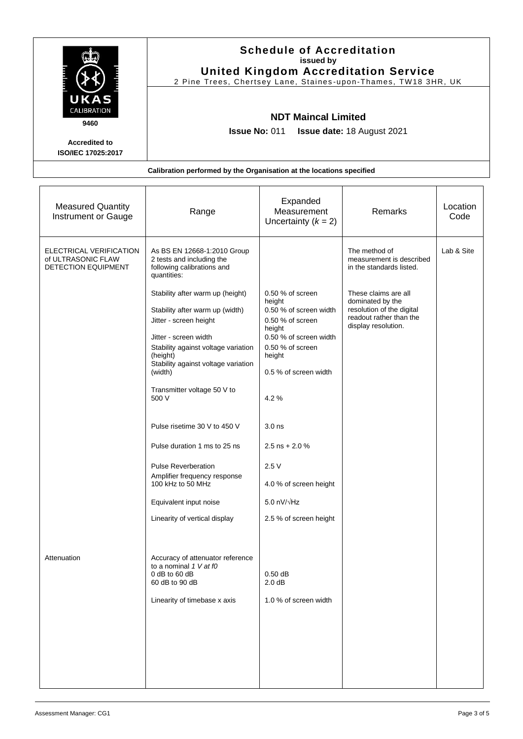|                                            | <b>Schedule of Accreditation</b><br>issued by<br><b>United Kingdom Accreditation Service</b><br>2 Pine Trees, Chertsey Lane, Staines-upon-Thames, TW18 3HR, UK |
|--------------------------------------------|----------------------------------------------------------------------------------------------------------------------------------------------------------------|
| UKAS<br>CALIBRATION<br>9460                | <b>NDT Maincal Limited</b><br><b>Issue No: 011 Issue date: 18 August 2021</b>                                                                                  |
| <b>Accredited to</b><br>ISO/IEC 17025:2017 |                                                                                                                                                                |
|                                            | Calibration performed by the Organisation at the locations specified                                                                                           |

| <b>Measured Quantity</b><br>Instrument or Gauge                      | Range                                                                                                                                                                                                                                                                                                                                                                                                                                                                                                                           | Expanded<br>Measurement<br>Uncertainty $(k = 2)$                                                                                                                                                                                                         | Remarks                                                                                                                                                                                          | Location<br>Code |
|----------------------------------------------------------------------|---------------------------------------------------------------------------------------------------------------------------------------------------------------------------------------------------------------------------------------------------------------------------------------------------------------------------------------------------------------------------------------------------------------------------------------------------------------------------------------------------------------------------------|----------------------------------------------------------------------------------------------------------------------------------------------------------------------------------------------------------------------------------------------------------|--------------------------------------------------------------------------------------------------------------------------------------------------------------------------------------------------|------------------|
| ELECTRICAL VERIFICATION<br>of ULTRASONIC FLAW<br>DETECTION EQUIPMENT | As BS EN 12668-1:2010 Group<br>2 tests and including the<br>following calibrations and<br>quantities:<br>Stability after warm up (height)<br>Stability after warm up (width)<br>Jitter - screen height<br>Jitter - screen width<br>Stability against voltage variation<br>(height)<br>Stability against voltage variation<br>(width)<br>Transmitter voltage 50 V to<br>500 V<br>Pulse risetime 30 V to 450 V<br>Pulse duration 1 ms to 25 ns<br><b>Pulse Reverberation</b><br>Amplifier frequency response<br>100 kHz to 50 MHz | 0.50 % of screen<br>height<br>0.50 % of screen width<br>$0.50$ % of screen<br>height<br>0.50 % of screen width<br>0.50 % of screen<br>height<br>0.5 % of screen width<br>4.2%<br>3.0 <sub>ns</sub><br>2.5 ns + 2.0 $%$<br>2.5V<br>4.0 % of screen height | The method of<br>measurement is described<br>in the standards listed.<br>These claims are all<br>dominated by the<br>resolution of the digital<br>readout rather than the<br>display resolution. | Lab & Site       |
|                                                                      | Equivalent input noise<br>Linearity of vertical display                                                                                                                                                                                                                                                                                                                                                                                                                                                                         | 5.0 $nV/\sqrt{Hz}$<br>2.5 % of screen height                                                                                                                                                                                                             |                                                                                                                                                                                                  |                  |
| Attenuation                                                          | Accuracy of attenuator reference<br>to a nominal 1 V at f0<br>$0$ dB to 60 dB<br>60 dB to 90 dB<br>Linearity of timebase x axis                                                                                                                                                                                                                                                                                                                                                                                                 | $0.50$ dB<br>2.0 dB<br>1.0 % of screen width                                                                                                                                                                                                             |                                                                                                                                                                                                  |                  |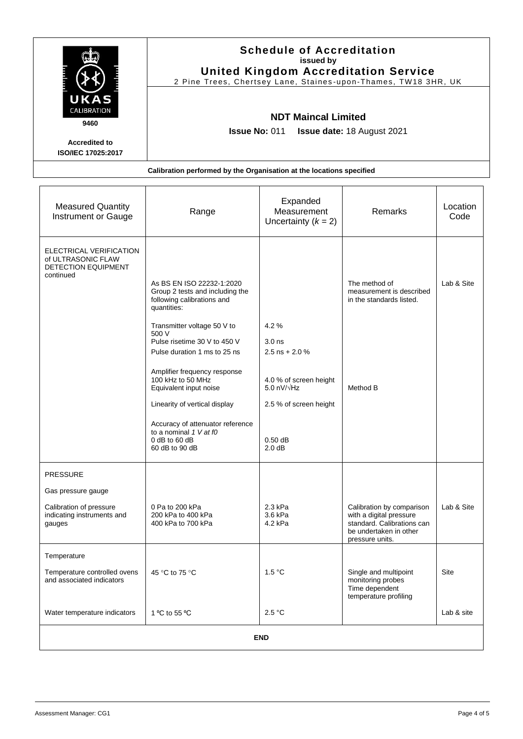|                                            | <b>Schedule of Accreditation</b><br>issued by<br><b>United Kingdom Accreditation Service</b><br>2 Pine Trees, Chertsey Lane, Staines-upon-Thames, TW18 3HR, UK |
|--------------------------------------------|----------------------------------------------------------------------------------------------------------------------------------------------------------------|
| UKAS<br>CALIBRATION<br>9460                | <b>NDT Maincal Limited</b><br><b>Issue No: 011 Issue date: 18 August 2021</b>                                                                                  |
| <b>Accredited to</b><br>ISO/IEC 17025:2017 |                                                                                                                                                                |

| <b>Measured Quantity</b><br>Instrument or Gauge                                   | Range                                                                                                                                    | Expanded<br>Measurement<br>Uncertainty $(k = 2)$                          | <b>Remarks</b>                                                                                                                  | Location<br>Code |
|-----------------------------------------------------------------------------------|------------------------------------------------------------------------------------------------------------------------------------------|---------------------------------------------------------------------------|---------------------------------------------------------------------------------------------------------------------------------|------------------|
| ELECTRICAL VERIFICATION<br>of ULTRASONIC FLAW<br>DETECTION EQUIPMENT<br>continued | As BS EN ISO 22232-1:2020<br>Group 2 tests and including the<br>following calibrations and<br>quantities:<br>Transmitter voltage 50 V to | 4.2%                                                                      | The method of<br>measurement is described<br>in the standards listed.                                                           | Lab & Site       |
|                                                                                   | 500 V<br>Pulse risetime 30 V to 450 V                                                                                                    | 3.0 <sub>ns</sub>                                                         |                                                                                                                                 |                  |
|                                                                                   | Pulse duration 1 ms to 25 ns                                                                                                             | 2.5 ns + 2.0 $%$                                                          |                                                                                                                                 |                  |
|                                                                                   | Amplifier frequency response<br>100 kHz to 50 MHz<br>Equivalent input noise<br>Linearity of vertical display                             | 4.0 % of screen height<br>$5.0$ nV/ $\sqrt{Hz}$<br>2.5 % of screen height | Method B                                                                                                                        |                  |
|                                                                                   | Accuracy of attenuator reference<br>to a nominal 1 V at f0<br>0 dB to 60 dB<br>60 dB to 90 dB                                            | $0.50$ dB<br>2.0 dB                                                       |                                                                                                                                 |                  |
| <b>PRESSURE</b>                                                                   |                                                                                                                                          |                                                                           |                                                                                                                                 |                  |
| Gas pressure gauge                                                                |                                                                                                                                          |                                                                           |                                                                                                                                 |                  |
| Calibration of pressure<br>indicating instruments and<br>gauges                   | 0 Pa to 200 kPa<br>200 kPa to 400 kPa<br>400 kPa to 700 kPa                                                                              | 2.3 kPa<br>3.6 kPa<br>4.2 kPa                                             | Calibration by comparison<br>with a digital pressure<br>standard. Calibrations can<br>be undertaken in other<br>pressure units. | Lab & Site       |
| Temperature                                                                       |                                                                                                                                          |                                                                           |                                                                                                                                 |                  |
| Temperature controlled ovens<br>and associated indicators                         | 45 °C to 75 °C                                                                                                                           | 1.5 °C                                                                    | Single and multipoint<br>monitoring probes<br>Time dependent<br>temperature profiling                                           | Site             |
| Water temperature indicators                                                      | 1 °C to 55 °C                                                                                                                            | 2.5 °C                                                                    |                                                                                                                                 | Lab & site       |
|                                                                                   |                                                                                                                                          | <b>END</b>                                                                |                                                                                                                                 |                  |